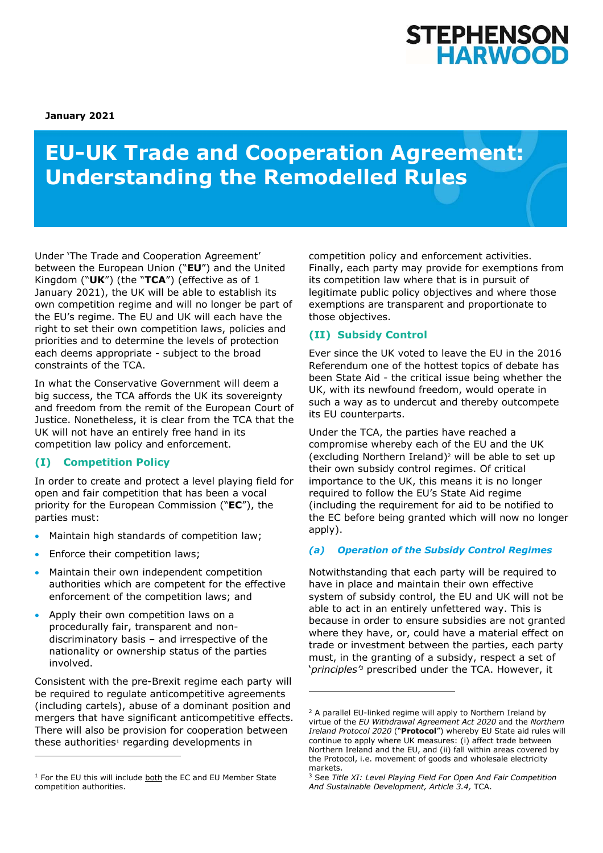

**January 2021** 

# **EU-UK Trade and Cooperation Agreement: Understanding the Remodelled Rules**

Under 'The Trade and Cooperation Agreement' between the European Union ("**EU**") and the United Kingdom ("**UK**") (the "**TCA**") (effective as of 1 January 2021), the UK will be able to establish its own competition regime and will no longer be part of the EU's regime. The EU and UK will each have the right to set their own competition laws, policies and priorities and to determine the levels of protection each deems appropriate - subject to the broad constraints of the TCA.

In what the Conservative Government will deem a big success, the TCA affords the UK its sovereignty and freedom from the remit of the European Court of Justice. Nonetheless, it is clear from the TCA that the UK will not have an entirely free hand in its competition law policy and enforcement.

## **(I) Competition Policy**

In order to create and protect a level playing field for open and fair competition that has been a vocal priority for the European Commission ("**EC**"), the parties must:

- Maintain high standards of competition law;
- Enforce their competition laws;
- Maintain their own independent competition authorities which are competent for the effective enforcement of the competition laws; and
- Apply their own competition laws on a procedurally fair, transparent and nondiscriminatory basis – and irrespective of the nationality or ownership status of the parties involved.

Consistent with the pre-Brexit regime each party will be required to regulate anticompetitive agreements (including cartels), abuse of a dominant position and mergers that have significant anticompetitive effects. There will also be provision for cooperation between these authorities<sup>1</sup> regarding developments in

competition policy and enforcement activities. Finally, each party may provide for exemptions from its competition law where that is in pursuit of legitimate public policy objectives and where those exemptions are transparent and proportionate to those objectives.

## **(II) Subsidy Control**

Ever since the UK voted to leave the EU in the 2016 Referendum one of the hottest topics of debate has been State Aid - the critical issue being whether the UK, with its newfound freedom, would operate in such a way as to undercut and thereby outcompete its EU counterparts.

Under the TCA, the parties have reached a compromise whereby each of the EU and the UK (excluding Northern Ireland)2 will be able to set up their own subsidy control regimes. Of critical importance to the UK, this means it is no longer required to follow the EU's State Aid regime (including the requirement for aid to be notified to the EC before being granted which will now no longer apply).

## *(a) Operation of the Subsidy Control Regimes*

Notwithstanding that each party will be required to have in place and maintain their own effective system of subsidy control, the EU and UK will not be able to act in an entirely unfettered way. This is because in order to ensure subsidies are not granted where they have, or, could have a material effect on trade or investment between the parties, each party must, in the granting of a subsidy, respect a set of '*principles'3* prescribed under the TCA. However, it

 $1$  For the EU this will include both the EC and EU Member State competition authorities.

<sup>2</sup> A parallel EU-linked regime will apply to Northern Ireland by virtue of the *EU Withdrawal Agreement Act 2020* and the *Northern Ireland Protocol 2020* ("**Protocol**") whereby EU State aid rules will continue to apply where UK measures: (i) affect trade between Northern Ireland and the EU, and (ii) fall within areas covered by the Protocol, i.e. movement of goods and wholesale electricity markets.

<sup>3</sup> See *Title XI: Level Playing Field For Open And Fair Competition And Sustainable Development, Article 3.4,* TCA.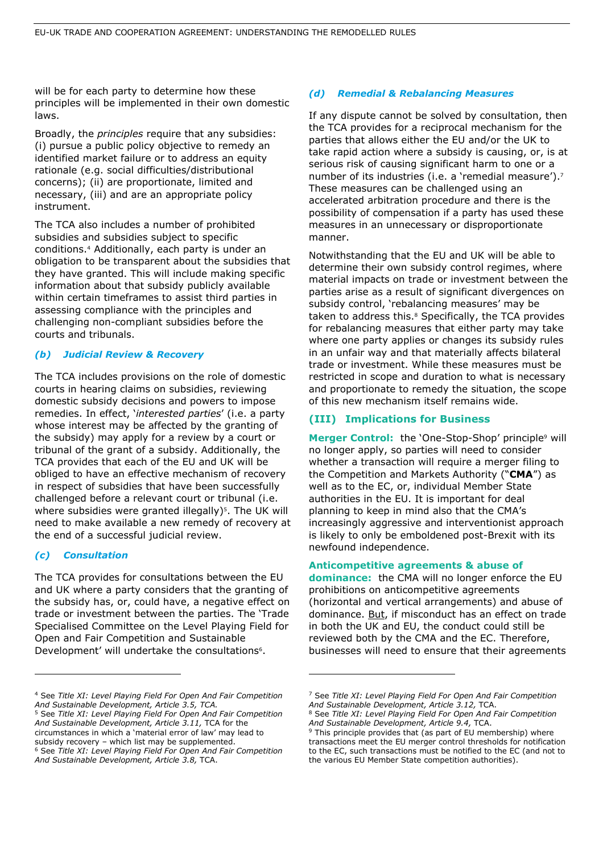will be for each party to determine how these principles will be implemented in their own domestic laws.

Broadly, the *principles* require that any subsidies: (i) pursue a public policy objective to remedy an identified market failure or to address an equity rationale (e.g. social difficulties/distributional concerns); (ii) are proportionate, limited and necessary, (iii) and are an appropriate policy instrument.

The TCA also includes a number of prohibited subsidies and subsidies subject to specific conditions.4 Additionally, each party is under an obligation to be transparent about the subsidies that they have granted. This will include making specific information about that subsidy publicly available within certain timeframes to assist third parties in assessing compliance with the principles and challenging non-compliant subsidies before the courts and tribunals.

#### *(b) Judicial Review & Recovery*

The TCA includes provisions on the role of domestic courts in hearing claims on subsidies, reviewing domestic subsidy decisions and powers to impose remedies. In effect, '*interested parties*' (i.e. a party whose interest may be affected by the granting of the subsidy) may apply for a review by a court or tribunal of the grant of a subsidy. Additionally, the TCA provides that each of the EU and UK will be obliged to have an effective mechanism of recovery in respect of subsidies that have been successfully challenged before a relevant court or tribunal (i.e. where subsidies were granted illegally)<sup>5</sup>. The UK will need to make available a new remedy of recovery at the end of a successful judicial review.

#### *(c) Consultation*

The TCA provides for consultations between the EU and UK where a party considers that the granting of the subsidy has, or, could have, a negative effect on trade or investment between the parties. The 'Trade Specialised Committee on the Level Playing Field for Open and Fair Competition and Sustainable Development' will undertake the consultations<sup>6</sup>.

#### *(d) Remedial & Rebalancing Measures*

If any dispute cannot be solved by consultation, then the TCA provides for a reciprocal mechanism for the parties that allows either the EU and/or the UK to take rapid action where a subsidy is causing, or, is at serious risk of causing significant harm to one or a number of its industries (i.e. a 'remedial measure').7 These measures can be challenged using an accelerated arbitration procedure and there is the possibility of compensation if a party has used these measures in an unnecessary or disproportionate manner.

Notwithstanding that the EU and UK will be able to determine their own subsidy control regimes, where material impacts on trade or investment between the parties arise as a result of significant divergences on subsidy control, 'rebalancing measures' may be taken to address this.<sup>8</sup> Specifically, the TCA provides for rebalancing measures that either party may take where one party applies or changes its subsidy rules in an unfair way and that materially affects bilateral trade or investment. While these measures must be restricted in scope and duration to what is necessary and proportionate to remedy the situation, the scope of this new mechanism itself remains wide.

### **(III) Implications for Business**

Merger Control: the 'One-Stop-Shop' principle<sup>9</sup> will no longer apply, so parties will need to consider whether a transaction will require a merger filing to the Competition and Markets Authority ("**CMA**") as well as to the EC, or, individual Member State authorities in the EU. It is important for deal planning to keep in mind also that the CMA's increasingly aggressive and interventionist approach is likely to only be emboldened post-Brexit with its newfound independence.

#### **Anticompetitive agreements & abuse of**

**dominance:** the CMA will no longer enforce the EU prohibitions on anticompetitive agreements (horizontal and vertical arrangements) and abuse of dominance. But, if misconduct has an effect on trade in both the UK and EU, the conduct could still be reviewed both by the CMA and the EC. Therefore, businesses will need to ensure that their agreements

<sup>4</sup> See *Title XI: Level Playing Field For Open And Fair Competition And Sustainable Development, Article 3.5, TCA.* 

<sup>5</sup> See *Title XI: Level Playing Field For Open And Fair Competition And Sustainable Development, Article 3.11,* TCA for the circumstances in which a 'material error of law' may lead to subsidy recovery – which list may be supplemented. 6 See *Title XI: Level Playing Field For Open And Fair Competition And Sustainable Development, Article 3.8,* TCA.

<sup>7</sup> See *Title XI: Level Playing Field For Open And Fair Competition And Sustainable Development, Article 3.12,* TCA. 8 See *Title XI: Level Playing Field For Open And Fair Competition* 

*And Sustainable Development, Article 9.4,* TCA. 9 This principle provides that (as part of EU membership) where

transactions meet the EU merger control thresholds for notification to the EC, such transactions must be notified to the EC (and not to the various EU Member State competition authorities).